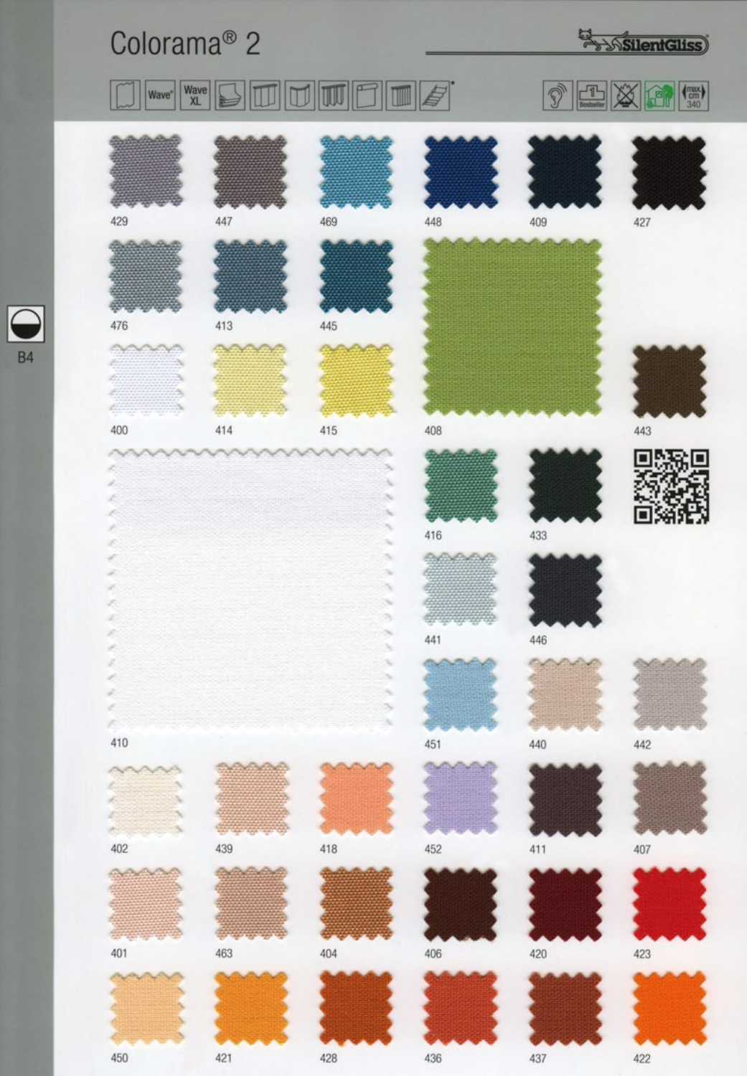## Colorama<sup>®</sup> 2

 $\boxed{\begin{array}{c} \text{Wave} \\ \text{XL} \end{array}}$ 

Wave<sup>\*</sup>

450

421

428

436

437

422

**ExpositentGliss** 





 $\sigma$ 

W

 $\blacksquare$